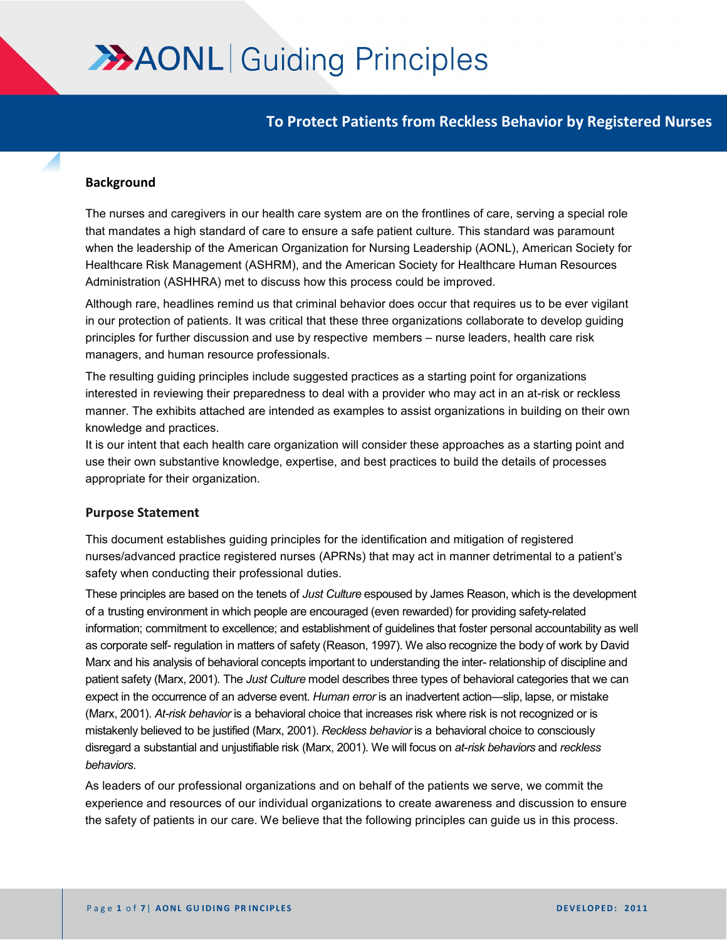# **AAONL** Guiding Principles

**To Protect Patients from Reckless Behavior by Registered Nurses**

#### **Background**

The nurses and caregivers in our health care system are on the frontlines of care, serving a special role that mandates a high standard of care to ensure a safe patient culture. This standard was paramount when the leadership of the American Organization for Nursing Leadership (AONL), American Society for Healthcare Risk Management (ASHRM), and the American Society for Healthcare Human Resources Administration (ASHHRA) met to discuss how this process could be improved.

Although rare, headlines remind us that criminal behavior does occur that requires us to be ever vigilant in our protection of patients. It was critical that these three organizations collaborate to develop guiding principles for further discussion and use by respective members – nurse leaders, health care risk managers, and human resource professionals.

The resulting guiding principles include suggested practices as a starting point for organizations interested in reviewing their preparedness to deal with a provider who may act in an at-risk or reckless manner. The exhibits attached are intended as examples to assist organizations in building on their own knowledge and practices.

It is our intent that each health care organization will consider these approaches as a starting point and use their own substantive knowledge, expertise, and best practices to build the details of processes appropriate for their organization.

# **Purpose Statement**

This document establishes guiding principles for the identification and mitigation of registered nurses/advanced practice registered nurses (APRNs) that may act in manner detrimental to a patient's safety when conducting their professional duties.

These principles are based on the tenets of *Just Culture* espoused by James Reason, which is the development of a trusting environment in which people are encouraged (even rewarded) for providing safety-related information; commitment to excellence; and establishment of guidelines that foster personal accountability as well as corporate self- regulation in matters of safety (Reason, 1997). We also recognize the body of work by David Marx and his analysis of behavioral concepts important to understanding the inter- relationship of discipline and patient safety (Marx, 2001). The *Just Culture* model describes three types of behavioral categories that we can expect in the occurrence of an adverse event. *Human error* is an inadvertent action—slip, lapse, or mistake (Marx, 2001). *At-risk behavior* is a behavioral choice that increases risk where risk is not recognized or is mistakenly believed to be justified (Marx, 2001). *Reckless behavior* is a behavioral choice to consciously disregard a substantial and unjustifiable risk (Marx, 2001). We will focus on *at-risk behaviors* and *reckless behaviors*.

As leaders of our professional organizations and on behalf of the patients we serve, we commit the experience and resources of our individual organizations to create awareness and discussion to ensure the safety of patients in our care. We believe that the following principles can guide us in this process.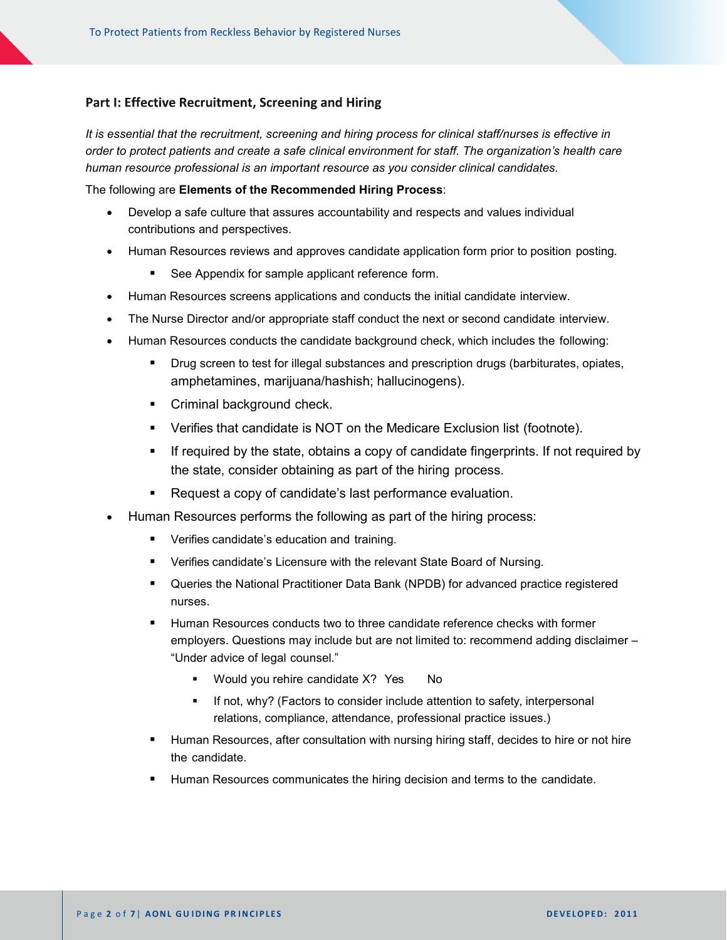## Part I: Effective Recruitment, Screening and Hiring

*It is essential that the recruitment, screening and hiring process for clinical staff/nurses is effective in order to protect patients and create a safe clinical environment for staff. The organization's health care human resource professional is an important resource as you consider clinical candidates.* 

The following are **Elements of the Recommended Hiring Process**:

- Develop a safe culture that assures accountability and respects and values individual contributions and perspectives.
- Human Resources reviews and approves candidate application form prior to position posting.
	- **See Appendix for sample applicant reference form.**
- Human Resources screens applications and conducts the initial candidate interview.
- The Nurse Director and/or appropriate staff conduct the next or second candidate interview.
- Human Resources conducts the candidate background check, which includes the following:
	- **PHIC** Drug screen to test for illegal substances and prescription drugs (barbiturates, opiates, amphetamines, marijuana/hashish; hallucinogens).
	- **Criminal background check.**
	- Verifies that candidate is NOT on the Medicare Exclusion list (footnote).
	- **If required by the state, obtains a copy of candidate fingerprints. If not required by** the state, consider obtaining as part of the hiring process.
	- **-** Request a copy of candidate's last performance evaluation.
- Human Resources performs the following as part of the hiring process:
	- **•** Verifies candidate's education and training.
	- **Verifies candidate's Licensure with the relevant State Board of Nursing.**
	- Queries the National Practitioner Data Bank (NPDB) for advanced practice registered nurses.
	- Human Resources conducts two to three candidate reference checks with former employers. Questions may include but are not limited to: recommend adding disclaimer – "Under advice of legal counsel."
		- Would you rehire candidate X? Yes No
		- If not, why? (Factors to consider include attention to safety, interpersonal relations, compliance, attendance, professional practice issues.)
	- Human Resources, after consultation with nursing hiring staff, decides to hire or not hire the candidate.
	- Human Resources communicates the hiring decision and terms to the candidate.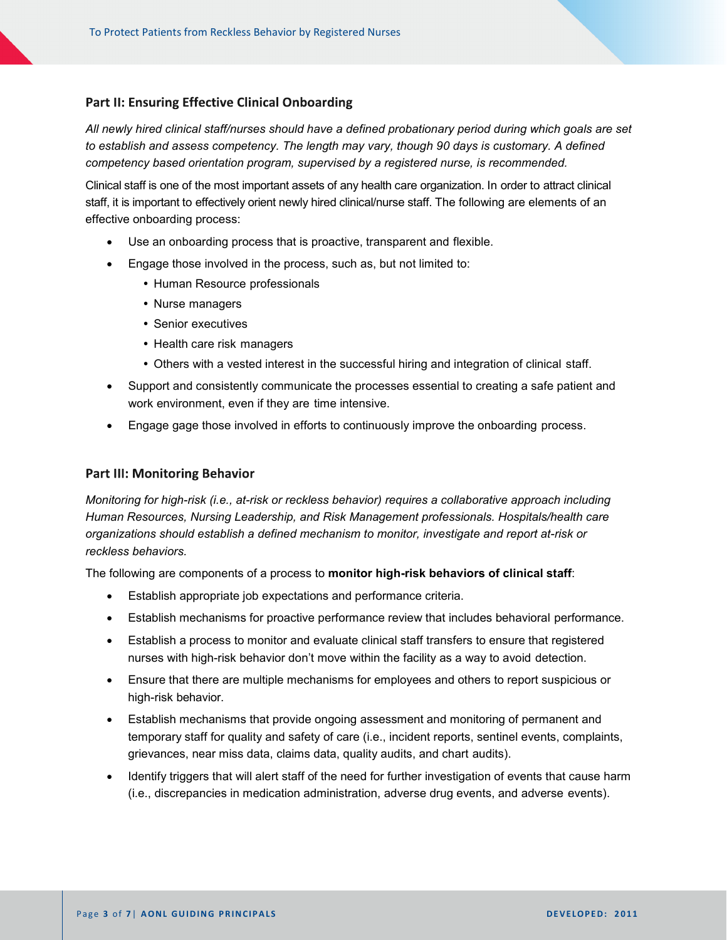## **Part II: Ensuring Effective Clinical Onboarding**

*All newly hired clinical staff/nurses should have a defined probationary period during which goals are set to establish and assess competency. The length may vary, though 90 days is customary. A defined competency based orientation program, supervised by a registered nurse, is recommended.*

Clinical staff is one of the most important assets of any health care organization. In order to attract clinical staff, it is important to effectively orient newly hired clinical/nurse staff. The following are elements of an effective onboarding process:

- Use an onboarding process that is proactive, transparent and flexible.
- Engage those involved in the process, such as, but not limited to:
	- Human Resource professionals
	- Nurse managers
	- Senior executives
	- Health care risk managers
	- Others with a vested interest in the successful hiring and integration of clinical staff.
- Support and consistently communicate the processes essential to creating a safe patient and work environment, even if they are time intensive.
- Engage gage those involved in efforts to continuously improve the onboarding process.

#### **Part III: Monitoring Behavior**

*Monitoring for high-risk (i.e., at-risk or reckless behavior) requires a collaborative approach including Human Resources, Nursing Leadership, and Risk Management professionals. Hospitals/health care organizations should establish a defined mechanism to monitor, investigate and report at-risk or reckless behaviors.*

The following are components of a process to **monitor high-risk behaviors of clinical staff**:

- Establish appropriate job expectations and performance criteria.
- Establish mechanisms for proactive performance review that includes behavioral performance.
- Establish a process to monitor and evaluate clinical staff transfers to ensure that registered nurses with high-risk behavior don't move within the facility as a way to avoid detection.
- Ensure that there are multiple mechanisms for employees and others to report suspicious or high-risk behavior.
- Establish mechanisms that provide ongoing assessment and monitoring of permanent and temporary staff for quality and safety of care (i.e., incident reports, sentinel events, complaints, grievances, near miss data, claims data, quality audits, and chart audits).
- Identify triggers that will alert staff of the need for further investigation of events that cause harm (i.e., discrepancies in medication administration, adverse drug events, and adverse events).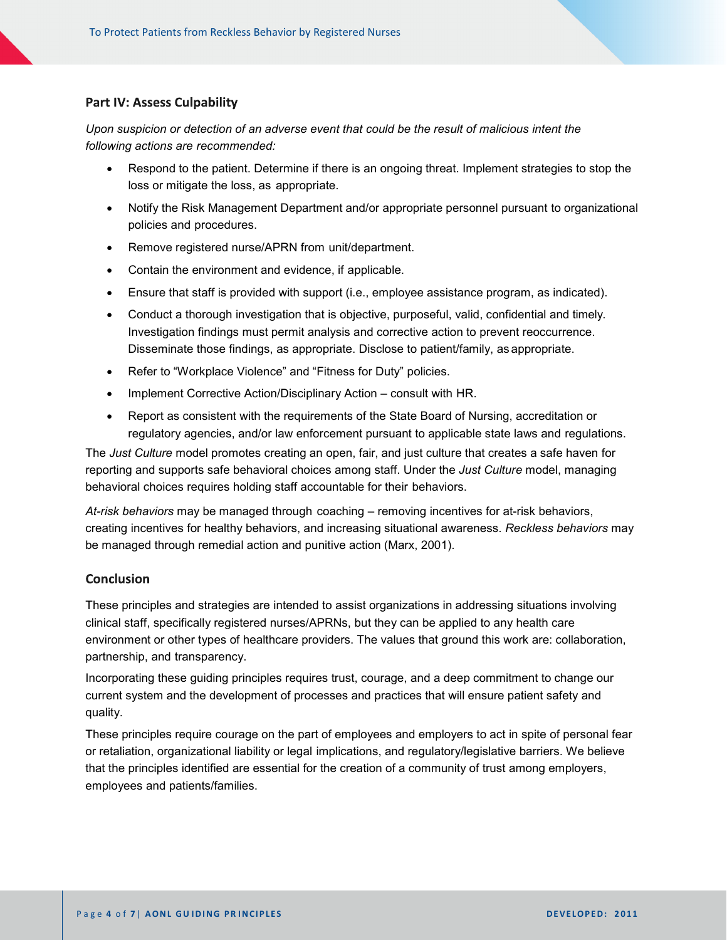## **Part IV: Assess Culpability**

*Upon suspicion or detection of an adverse event that could be the result of malicious intent the following actions are recommended:*

- Respond to the patient. Determine if there is an ongoing threat. Implement strategies to stop the loss or mitigate the loss, as appropriate.
- Notify the Risk Management Department and/or appropriate personnel pursuant to organizational policies and procedures.
- Remove registered nurse/APRN from unit/department.
- Contain the environment and evidence, if applicable.
- Ensure that staff is provided with support (i.e., employee assistance program, as indicated).
- Conduct a thorough investigation that is objective, purposeful, valid, confidential and timely. Investigation findings must permit analysis and corrective action to prevent reoccurrence. Disseminate those findings, as appropriate. Disclose to patient/family, as appropriate.
- Refer to "Workplace Violence" and "Fitness for Duty" policies.
- Implement Corrective Action/Disciplinary Action consult with HR.
- Report as consistent with the requirements of the State Board of Nursing, accreditation or regulatory agencies, and/or law enforcement pursuant to applicable state laws and regulations.

The *Just Culture* model promotes creating an open, fair, and just culture that creates a safe haven for reporting and supports safe behavioral choices among staff. Under the *Just Culture* model, managing behavioral choices requires holding staff accountable for their behaviors.

*At-risk behaviors* may be managed through coaching – removing incentives for at-risk behaviors, creating incentives for healthy behaviors, and increasing situational awareness. *Reckless behaviors* may be managed through remedial action and punitive action (Marx, 2001).

#### **Conclusion**

These principles and strategies are intended to assist organizations in addressing situations involving clinical staff, specifically registered nurses/APRNs, but they can be applied to any health care environment or other types of healthcare providers. The values that ground this work are: collaboration, partnership, and transparency.

Incorporating these guiding principles requires trust, courage, and a deep commitment to change our current system and the development of processes and practices that will ensure patient safety and quality.

These principles require courage on the part of employees and employers to act in spite of personal fear or retaliation, organizational liability or legal implications, and regulatory/legislative barriers. We believe that the principles identified are essential for the creation of a community of trust among employers, employees and patients/families.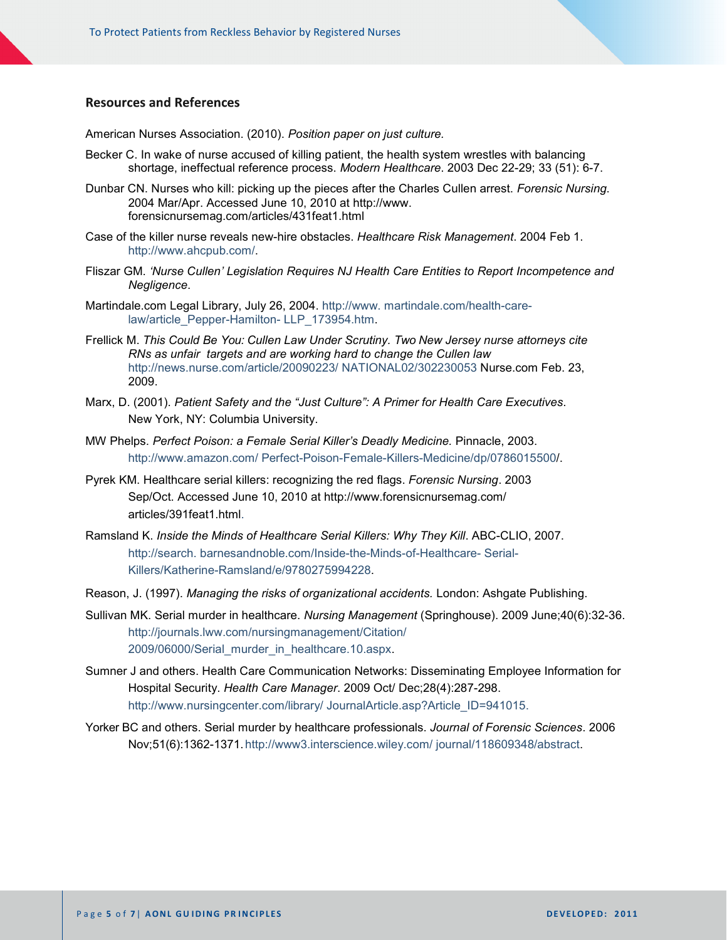## **Resources and References**

American Nurses Association. (2010). *Position paper on just culture.*

- Becker C. In wake of nurse accused of killing patient, the health system wrestles with balancing shortage, ineffectual reference process. *Modern Healthcare*. 2003 Dec 22-29; 33 (51): 6-7.
- Dunbar CN. Nurses who kill: picking up the pieces after the Charles Cullen arrest. *Forensic Nursing*. 2004 Mar/Apr. Accessed June 10, 2010 at [http://www.](http://www/) forensicnursemag.com/articles/431feat1.html
- Case of the killer nurse reveals new-hire obstacles. *Healthcare Risk Management*. 2004 Feb 1. [http://www.ahcpub.com/.](http://www.ahcpub.com/)
- Fliszar GM. *'Nurse Cullen' Legislation Requires NJ Health Care Entities to Report Incompetence and Negligence*.
- Martindale.com Legal Library, July 26, 2004. [http://www.](http://www.martindale.com/health-care-law/article_Pepper-Hamilton-LLP_173954.htm) [martindale.com/health-care](http://www.martindale.com/health-care-law/article_Pepper-Hamilton-LLP_173954.htm)[law/article\\_Pepper-Hamilton-](http://www.martindale.com/health-care-law/article_Pepper-Hamilton-LLP_173954.htm) [LLP\\_173954.htm.](http://www.martindale.com/health-care-law/article_Pepper-Hamilton-LLP_173954.htm)
- Frellick M. *This Could Be You: Cullen Law Under Scrutiny. Two New Jersey nurse attorneys cite RNs as unfair targets and are working hard to change the Cullen law*  [http://news.nurse.com/article/20090223/](http://news.nurse.com/article/20090223/NATIONAL02/302230053) [NATIONAL02/302230053](http://news.nurse.com/article/20090223/NATIONAL02/302230053) Nurse.com Feb. 23, 2009.
- Marx, D. (2001). *Patient Safety and the "Just Culture": A Primer for Health Care Executives*. New York, NY: Columbia University.
- MW Phelps. *Perfect Poison: a Female Serial Killer's Deadly Medicine.* Pinnacle, 2003. [http://www.amazon.com/](http://www.amazon.com/Perfect-Poison-Female-Killers-Medicine/dp/0786015500) [Perfect-Poison-Female-Killers-Medicine/dp/0786015500/](http://www.amazon.com/Perfect-Poison-Female-Killers-Medicine/dp/0786015500).
- Pyrek KM. Healthcare serial killers: recognizing the red flags. *Forensic Nursing*. 2003 Sep/Oct. Accessed June 10, 2010 at<http://www.forensicnursemag.com/> articles/391feat1.html.
- Ramsland K. *Inside the Minds of Healthcare Serial Killers: Why They Kill*. ABC-CLIO, 2007. [http://search.](http://search.barnesandnoble.com/Inside-the-Minds-of-Healthcare-%20Serial-Killers/Katherine-Ramsland/e/9780275994228) [barnesandnoble.com/Inside-the-Minds-of-Healthcare-](http://search.barnesandnoble.com/Inside-the-Minds-of-Healthcare-%20Serial-Killers/Katherine-Ramsland/e/9780275994228) [Serial-](http://search.barnesandnoble.com/Inside-the-Minds-of-Healthcare-%20Serial-Killers/Katherine-Ramsland/e/9780275994228)[Killers/Katherine-Ramsland/e/9780275994228.](http://search.barnesandnoble.com/Inside-the-Minds-of-Healthcare-%20Serial-Killers/Katherine-Ramsland/e/9780275994228)
- Reason, J. (1997). *Managing the risks of organizational accidents.* London: Ashgate Publishing.
- Sullivan MK. Serial murder in healthcare. *Nursing Management* (Springhouse). 2009 June;40(6):32-36. [http://journals.lww.com/nursingmanagement/Citation/](http://journals.lww.com/nursingmanagement/Citation/2009/06000/Serial_murder_in_healthcare.10.aspx) [2009/06000/Serial\\_murder\\_in\\_healthcare.10.aspx.](http://journals.lww.com/nursingmanagement/Citation/2009/06000/Serial_murder_in_healthcare.10.aspx)
- Sumner J and others. Health Care Communication Networks: Disseminating Employee Information for Hospital Security. *Health Care Manager*. 2009 Oct/ Dec;28(4):287-298. [http://www.nursingcenter.com/library/](http://www.nursingcenter.com/library/JournalArticle.asp?Article_ID=941015) [JournalArticle.asp?Article\\_ID=941015.](http://www.nursingcenter.com/library/JournalArticle.asp?Article_ID=941015)
- Yorker BC and others. Serial murder by healthcare professionals. *Journal of Forensic Sciences*. 2006 Nov;51(6):1362-1371[.http://www3.interscience.wiley.com/](http://www3.interscience.wiley.com/journal/118609348/abstract) [journal/118609348/abstract.](http://www3.interscience.wiley.com/journal/118609348/abstract)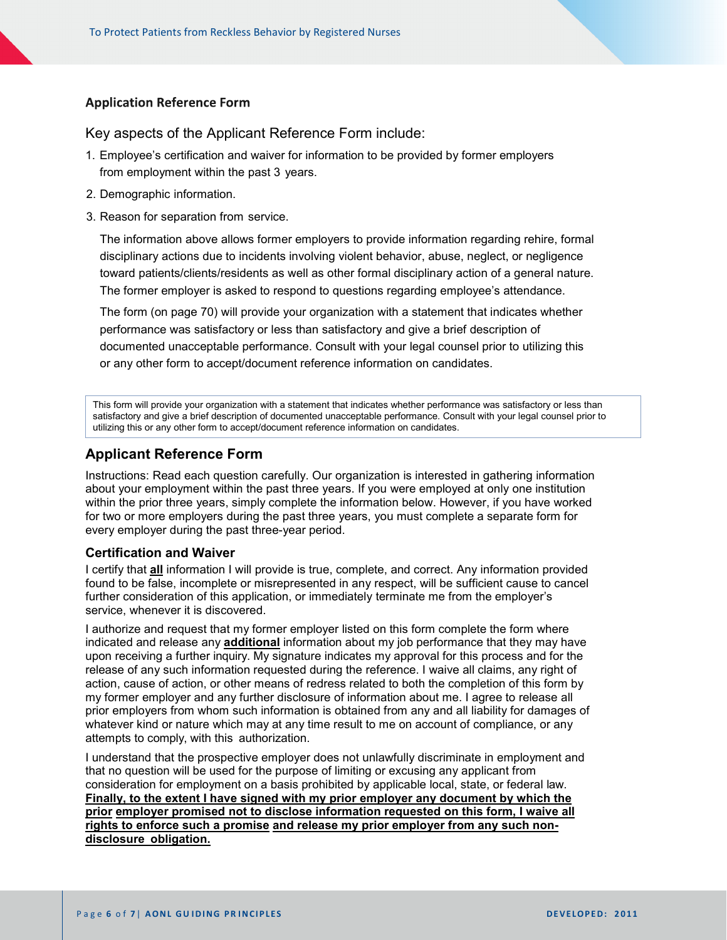# **Application Reference Form**

# Key aspects of the Applicant Reference Form include:

- 1. Employee's certification and waiver for information to be provided by former employers from employment within the past 3 years.
- 2. Demographic information.
- 3. Reason for separation from service.

The information above allows former employers to provide information regarding rehire, formal disciplinary actions due to incidents involving violent behavior, abuse, neglect, or negligence toward patients/clients/residents as well as other formal disciplinary action of a general nature. The former employer is asked to respond to questions regarding employee's attendance.

The form (on page 70) will provide your organization with a statement that indicates whether performance was satisfactory or less than satisfactory and give a brief description of documented unacceptable performance. Consult with your legal counsel prior to utilizing this or any other form to accept/document reference information on candidates.

This form will provide your organization with a statement that indicates whether performance was satisfactory or less than satisfactory and give a brief description of documented unacceptable performance. Consult with your legal counsel prior to utilizing this or any other form to accept/document reference information on candidates.

# **Applicant Reference Form**

Instructions: Read each question carefully. Our organization is interested in gathering information about your employment within the past three years. If you were employed at only one institution within the prior three years, simply complete the information below. However, if you have worked for two or more employers during the past three years, you must complete a separate form for every employer during the past three-year period.

#### **Certification and Waiver**

I certify that **all** information I will provide is true, complete, and correct. Any information provided found to be false, incomplete or misrepresented in any respect, will be sufficient cause to cancel further consideration of this application, or immediately terminate me from the employer's service, whenever it is discovered.

I authorize and request that my former employer listed on this form complete the form where indicated and release any **additional** information about my job performance that they may have upon receiving a further inquiry. My signature indicates my approval for this process and for the release of any such information requested during the reference. I waive all claims, any right of action, cause of action, or other means of redress related to both the completion of this form by my former employer and any further disclosure of information about me. I agree to release all prior employers from whom such information is obtained from any and all liability for damages of whatever kind or nature which may at any time result to me on account of compliance, or any attempts to comply, with this authorization.

I understand that the prospective employer does not unlawfully discriminate in employment and that no question will be used for the purpose of limiting or excusing any applicant from consideration for employment on a basis prohibited by applicable local, state, or federal law. **Finally, to the extent I have signed with my prior employer any document by which the prior employer promised not to disclose information requested on this form, I waive all rights to enforce such a promise and release my prior employer from any such nondisclosure obligation.**